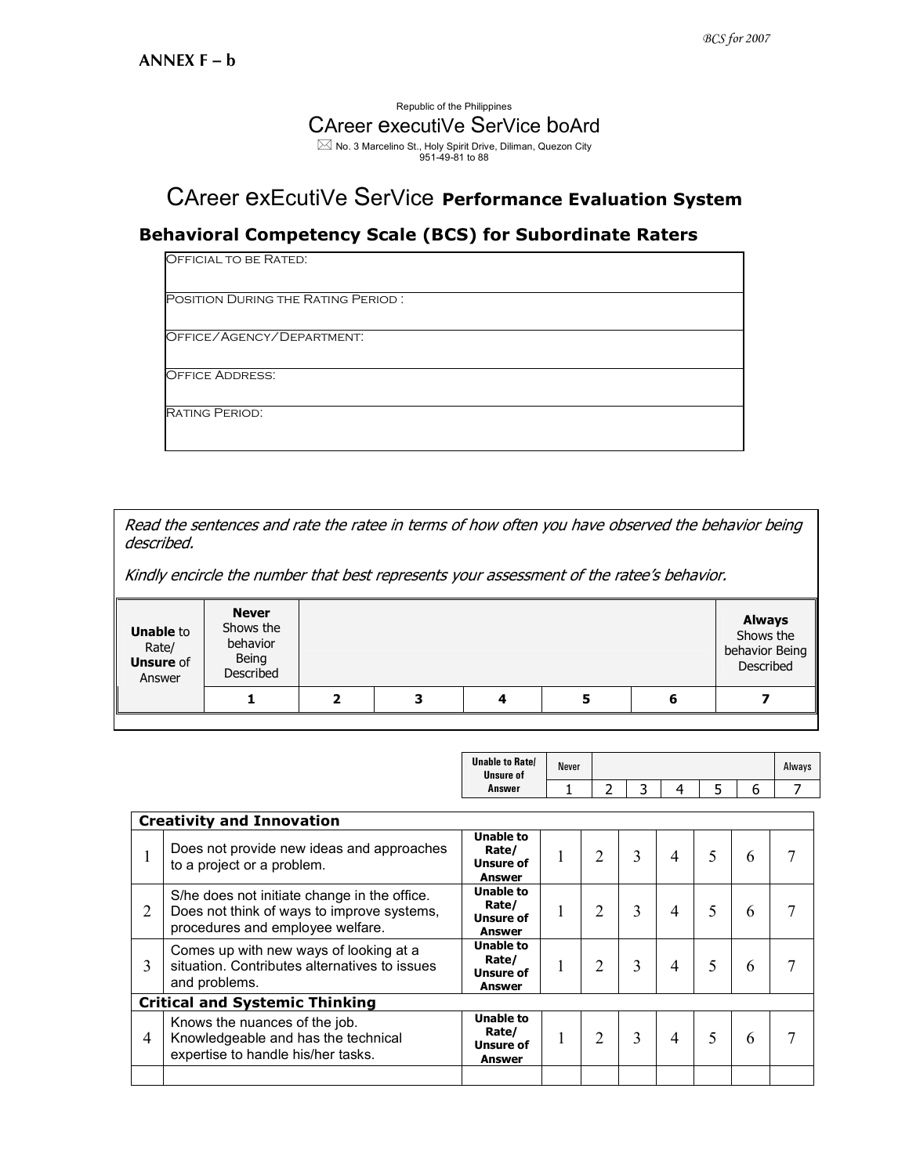## Republic of the Philippines CAreer executiVe SerVice boArd  $\boxtimes$  No. 3 Marcelino St., Holy Spirit Drive, Diliman, Quezon City<br>951-49-81 to 88

## CAreer exEcutiVe SerVice Performance Evaluation System

## Behavioral Competency Scale (BCS) for Subordinate Raters

| OFFICIAL TO BE RATED.                     |  |
|-------------------------------------------|--|
| <b>POSITION DURING THE RATING PERIOD:</b> |  |
| OFFICE/AGENCY/DEPARTMENT:                 |  |
| <b>OFFICE ADDRESS:</b>                    |  |
| <b>RATING PERIOD:</b>                     |  |

Read the sentences and rate the ratee in terms of how often you have observed the behavior being described.

Kindly encircle the number that best represents your assessment of the ratee's behavior.

| <b>Unable to</b><br>Rate/<br><b>Unsure of</b><br>Answer | <b>Never</b><br>Shows the<br>behavior<br>Being<br>Described |   |   |   | <b>Always</b><br>Shows the<br>behavior Being<br>Described |
|---------------------------------------------------------|-------------------------------------------------------------|---|---|---|-----------------------------------------------------------|
|                                                         |                                                             | 3 | ┚ | 5 |                                                           |

|                                       |                                                                                                                                | <b>Unable to Ratel</b><br><b>Unsure of</b>              | <b>Never</b> |                |   |   |   |   | Always |  |
|---------------------------------------|--------------------------------------------------------------------------------------------------------------------------------|---------------------------------------------------------|--------------|----------------|---|---|---|---|--------|--|
|                                       |                                                                                                                                | Answer                                                  |              | 2              | 3 | 4 | 5 | 6 | 7      |  |
| <b>Creativity and Innovation</b>      |                                                                                                                                |                                                         |              |                |   |   |   |   |        |  |
|                                       | Does not provide new ideas and approaches<br>to a project or a problem.                                                        | <b>Unable to</b><br>Rate/<br><b>Unsure of</b><br>Answer |              | $\overline{2}$ | 3 | 4 | 5 | 6 |        |  |
| $\overline{2}$                        | S/he does not initiate change in the office.<br>Does not think of ways to improve systems,<br>procedures and employee welfare. | <b>Unable to</b><br>Rate/<br>Unsure of<br>Answer        |              | 2              | 3 | 4 | 5 | 6 | 7      |  |
| 3                                     | Comes up with new ways of looking at a<br>situation. Contributes alternatives to issues<br>and problems.                       | <b>Unable to</b><br>Rate/<br>Unsure of<br>Answer        |              | 2              | 3 | 4 | 5 | 6 | 7      |  |
| <b>Critical and Systemic Thinking</b> |                                                                                                                                |                                                         |              |                |   |   |   |   |        |  |
| $\overline{4}$                        | Knows the nuances of the job.<br>Knowledgeable and has the technical<br>expertise to handle his/her tasks.                     | <b>Unable to</b><br>Rate/<br><b>Unsure of</b><br>Answer |              | 2              | 3 | 4 | 5 | 6 | 7      |  |
|                                       |                                                                                                                                |                                                         |              |                |   |   |   |   |        |  |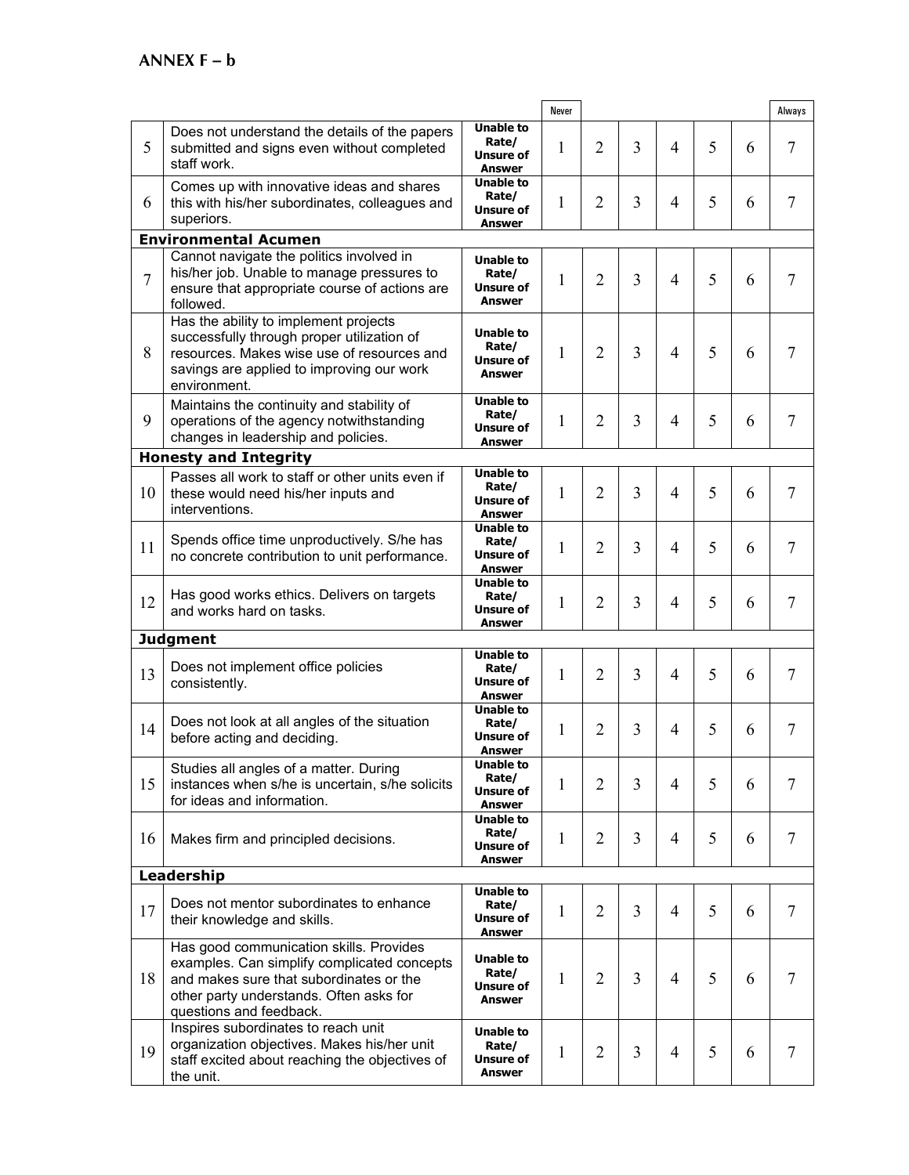|                |                                                                                                                                                                                                         |                                                                | <b>Never</b> |                |   |                |   |   | Always |
|----------------|---------------------------------------------------------------------------------------------------------------------------------------------------------------------------------------------------------|----------------------------------------------------------------|--------------|----------------|---|----------------|---|---|--------|
| 5              | Does not understand the details of the papers<br>submitted and signs even without completed<br>staff work.                                                                                              | <b>Unable to</b><br>Rate/<br>Unsure of<br><b>Answer</b>        | 1            | $\overline{2}$ | 3 | $\overline{4}$ | 5 | 6 | 7      |
| 6              | Comes up with innovative ideas and shares<br>this with his/her subordinates, colleagues and<br>superiors.                                                                                               | <b>Unable to</b><br>Rate/<br>Unsure of<br><b>Answer</b>        | 1            | $\overline{2}$ | 3 | 4              | 5 | 6 | 7      |
|                | <b>Environmental Acumen</b>                                                                                                                                                                             |                                                                |              |                |   |                |   |   |        |
| $\overline{7}$ | Cannot navigate the politics involved in<br>his/her job. Unable to manage pressures to<br>ensure that appropriate course of actions are<br>followed.                                                    | <b>Unable to</b><br>Rate/<br><b>Unsure of</b><br><b>Answer</b> | 1            | $\overline{2}$ | 3 | 4              | 5 | 6 | 7      |
| 8              | Has the ability to implement projects<br>successfully through proper utilization of<br>resources. Makes wise use of resources and<br>savings are applied to improving our work<br>environment.          | <b>Unable to</b><br>Rate/<br><b>Unsure of</b><br><b>Answer</b> | 1            | $\overline{2}$ | 3 | 4              | 5 | 6 | 7      |
| 9              | Maintains the continuity and stability of<br>operations of the agency notwithstanding<br>changes in leadership and policies.                                                                            | <b>Unable to</b><br>Rate/<br>Unsure of<br><b>Answer</b>        | 1            | $\overline{2}$ | 3 | 4              | 5 | 6 | 7      |
|                | <b>Honesty and Integrity</b>                                                                                                                                                                            |                                                                |              |                |   |                |   |   |        |
| 10             | Passes all work to staff or other units even if<br>these would need his/her inputs and<br>interventions.                                                                                                | <b>Unable to</b><br>Rate/<br><b>Unsure of</b><br>Answer        | 1            | 2              | 3 | 4              | 5 | 6 | 7      |
| 11             | Spends office time unproductively. S/he has<br>no concrete contribution to unit performance.                                                                                                            | <b>Unable to</b><br>Rate/<br>Unsure of<br><b>Answer</b>        | 1            | $\overline{2}$ | 3 | 4              | 5 | 6 | 7      |
| 12             | Has good works ethics. Delivers on targets<br>and works hard on tasks.                                                                                                                                  | <b>Unable to</b><br>Rate/<br><b>Unsure of</b><br><b>Answer</b> | 1            | $\overline{2}$ | 3 | 4              | 5 | 6 | 7      |
|                | <b>Judgment</b>                                                                                                                                                                                         |                                                                |              |                |   |                |   |   |        |
| 13             | Does not implement office policies<br>consistently.                                                                                                                                                     | <b>Unable to</b><br>Rate/<br>Unsure of<br><b>Answer</b>        | 1            | $\overline{2}$ | 3 | 4              | 5 | 6 | 7      |
| 14             | Does not look at all angles of the situation<br>before acting and deciding.                                                                                                                             | <b>Unable to</b><br>Rate/<br>Unsure of<br>Answer               | 1            | $\overline{2}$ | 3 | 4              | 5 | 6 | 7      |
| 15             | Studies all angles of a matter. During<br>instances when s/he is uncertain, s/he solicits<br>for ideas and information.                                                                                 | Unable to<br>Rate/<br><b>Unsure of</b><br><b>Answer</b>        | 1            | $\overline{2}$ | 3 | 4              | 5 | 6 | 7      |
| 16             | Makes firm and principled decisions.                                                                                                                                                                    | <b>Unable to</b><br>Rate/<br>Unsure of<br>Answer               | 1            | 2              | 3 | 4              | 5 | 6 | 7      |
|                | Leadership                                                                                                                                                                                              |                                                                |              |                |   |                |   |   |        |
| 17             | Does not mentor subordinates to enhance<br>their knowledge and skills.                                                                                                                                  | <b>Unable to</b><br>Rate/<br>Unsure of<br>Answer               | 1            | 2              | 3 | 4              | 5 | 6 | 7      |
| 18             | Has good communication skills. Provides<br>examples. Can simplify complicated concepts<br>and makes sure that subordinates or the<br>other party understands. Often asks for<br>questions and feedback. | <b>Unable to</b><br>Rate/<br>Unsure of<br>Answer               | 1            | $\overline{2}$ | 3 | 4              | 5 | 6 | 7      |
| 19             | Inspires subordinates to reach unit<br>organization objectives. Makes his/her unit<br>staff excited about reaching the objectives of<br>the unit.                                                       | <b>Unable to</b><br>Rate/<br>Unsure of<br>Answer               | 1            | 2              | 3 | 4              | 5 | 6 | 7      |